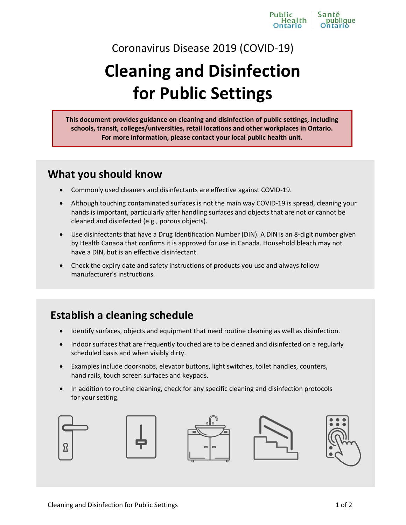

Coronavirus Disease 2019 (COVID-19)

# **Cleaning and Disinfection for Public Settings**

**This document provides guidance on cleaning and disinfection of public settings, including schools, transit, colleges/universities, retail locations and other workplaces in Ontario. For more information, please contact your local public health unit.** 

### **What you should know**

- Commonly used cleaners and disinfectants are effective against COVID-19.
- Although touching contaminated surfaces is not the main way COVID-19 is spread, cleaning your hands is important, particularly after handling surfaces and objects that are not or cannot be cleaned and disinfected (e.g., porous objects).
- Use disinfectants that have a Drug Identification Number (DIN). A DIN is an 8-digit number given by Health Canada that confirms it is approved for use in Canada. Household bleach may not have a DIN, but is an effective disinfectant.
- Check the expiry date and safety instructions of products you use and always follow manufacturer's instructions.

## **Establish a cleaning schedule**

- Identify surfaces, objects and equipment that need routine cleaning as well as disinfection.
- Indoor surfaces that are frequently touched are to be cleaned and disinfected on a regularly scheduled basis and when visibly dirty.
- Examples include doorknobs, elevator buttons, light switches, toilet handles, counters, hand rails, touch screen surfaces and keypads.
- In addition to routine cleaning, check for any specific cleaning and disinfection protocols for your setting.